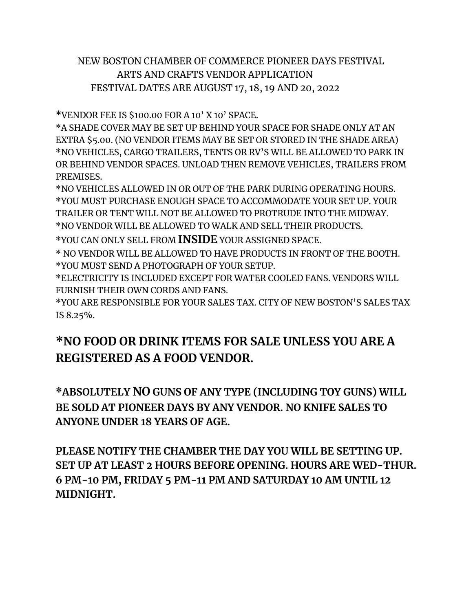## NEW BOSTON CHAMBER OF COMMERCE PIONEER DAYS FESTIVAL ARTS AND CRAFTS VENDOR APPLICATION FESTIVAL DATES ARE AUGUST 17, 18, 19 AND 20, 2022

\*VENDOR FEE IS \$100.00 FOR A 10' X 10' SPACE.

\*A SHADE COVER MAY BE SET UP BEHIND YOUR SPACE FOR SHADE ONLY AT AN EXTRA \$5.00. (NO VENDOR ITEMS MAY BE SET OR STORED IN THE SHADE AREA) \*NO VEHICLES, CARGO TRAILERS, TENTS OR RV'S WILL BE ALLOWED TO PARK IN OR BEHIND VENDOR SPACES. UNLOAD THEN REMOVE VEHICLES, TRAILERS FROM PREMISES.

\*NO VEHICLES ALLOWED IN OR OUT OF THE PARK DURING OPERATING HOURS. \*YOU MUST PURCHASE ENOUGH SPACE TO ACCOMMODATE YOUR SET UP. YOUR TRAILER OR TENT WILL NOT BE ALLOWED TO PROTRUDE INTO THE MIDWAY. \*NO VENDOR WILL BE ALLOWED TO WALK AND SELL THEIR PRODUCTS.

\*YOU CAN ONLY SELL FROM **INSIDE** YOUR ASSIGNED SPACE.

\* NO VENDOR WILL BE ALLOWED TO HAVE PRODUCTS IN FRONT OF THE BOOTH. \*YOU MUST SEND A PHOTOGRAPH OF YOUR SETUP.

\*ELECTRICITY IS INCLUDED EXCEPT FOR WATER COOLED FANS. VENDORS WILL FURNISH THEIR OWN CORDS AND FANS.

\*YOU ARE RESPONSIBLE FOR YOUR SALES TAX. CITY OF NEW BOSTON'S SALES TAX IS 8.25%.

## **\*NO FOOD OR DRINK ITEMS FOR SALE UNLESS YOU ARE A REGISTERED AS A FOOD VENDOR.**

**\*ABSOLUTELY NO GUNS OF ANY TYPE (INCLUDING TOY GUNS) WILL BE SOLD AT PIONEER DAYS BY ANY VENDOR. NO KNIFE SALES TO ANYONE UNDER 18 YEARS OF AGE.**

**PLEASE NOTIFY THE CHAMBER THE DAY YOU WILL BE SETTING UP. SET UP AT LEAST 2 HOURS BEFORE OPENING. HOURS ARE WED-THUR. 6 PM-10 PM, FRIDAY 5 PM-11 PM AND SATURDAY 10 AM UNTIL 12 MIDNIGHT.**